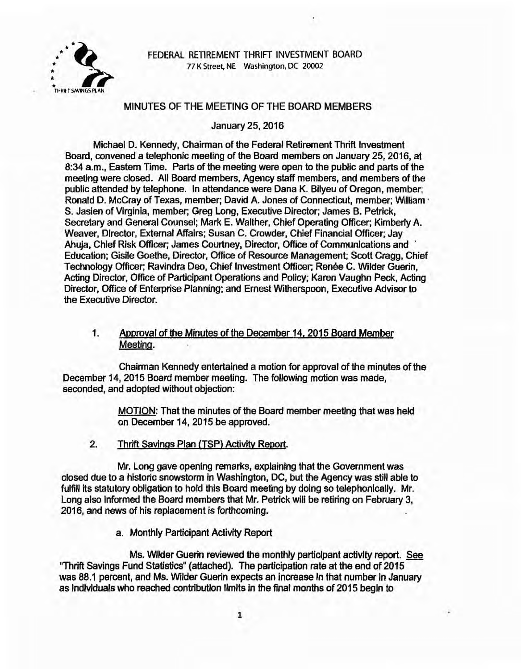

FEDERAL RETIREMENT THRIFT INVESTMENT BOARD 77 K Street, NE Washington, DC 20002

### MINUTES OF THE MEETING OF THE BOARD MEMBERS

January 25, 2016

Michael D. Kennedy, Chainnan of the Federal Retirement Thrift Investment Board, convened a telephonic meeting of the Board members on January 25, 2016, at 8:34 a.m., Eastern Time. Parts of the meeting were open to the public and parts of the meeting were closed. All Board members, Agency staff members, and members of the public attended by telephone. In attendance were Dana K. Bilyeu of Oregon, member; Ronald D. McCray of Texas, member; David A. Jones of Connecticut, member; William · S. Jasien of Virginia, member; Greg Long, Executive Director; James B. Petrick, Secretary and General Counsel; Mark E. Walther, Chief Operating Officer; Kimberly A. Weaver, Director, External Affairs; Susan C. Crowder, Chief Financial Officer; Jay Ahuja, Chief Risk Officer; James Courtney, Director, Office of Communications and · Education; Gisile Goethe, Director, Office of Resource Management; Scott Cragg, Chief Technology Officer; Ravindra Deo, Chief Investment Officer; Renée C. Wilder Guerin, Acting Director, Office of Participant Operations and Policy; Karen Vaughn Peck, Acting Director, Office of Enterprise Planning; and Ernest Witherspoon, Executive Advisor to the Executive Director.

# 1. Approyal of the Minutes of the December 14. 2015 Board Member Meeting.

Chairman Kennedy entertained a motion for approval of the minutes of the December 14, 2015 Board member meeting. The following motion was made, seconded, and adopted without objection:

> MOTION: That the minutes of the Board member meeting that was held on December 14, 2015 be approved.

2. Thrift Savings Plan (TSP) Activity Report.

Mr. Long gave opening remarks, explaining that the Government was closed due to a historic snowstorm in Washington, DC, but the Agency was still able to fulfill its statutory obligation to hold this Board meeting by doing so telephonlcally. Mr. Long also informed the Board members that Mr. Petrick will be retiring on February 3, 2016, and news of his replacement is forthcoming.

a. Monthly Participant Activity Report

Ms. Wilder Guerin reviewed the monthly participant activity report. See "Thrift Savings Fund Statistics" (attached). The participation rate at the end of 2015 was 88.1 percent, and Ms. Wilder Guerin expects an Increase In that number In January as lndlvlduals who reached contribution llmlts in the final months of 2015 begin to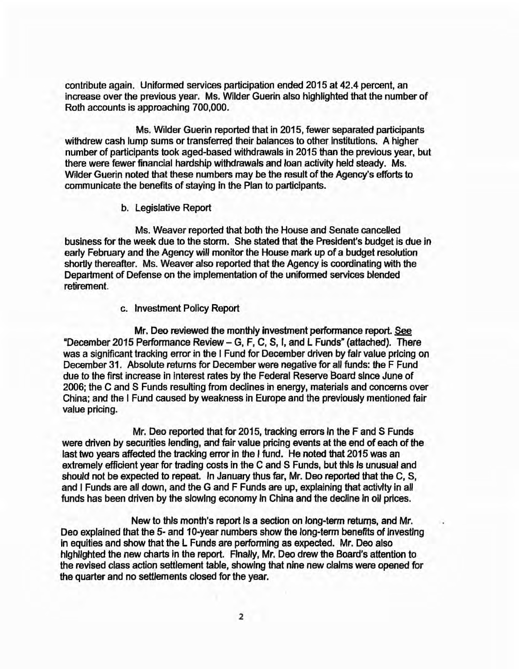contribute again. Uniformed services participation ended 2015 at 42.4 percent, an increase over the previous year. Ms. Wilder Guerin also highlighted that the number of Roth accounts is approaching 700,000.

Ms. Wilder Guerin reported that in 2015, fewer separated participants withdrew cash lump sums or transferred their balances to other institutions. A higher number of participants took aged-based withdrawals in 2015 than the previous year, but there were fewer financial hardship withdrawals and loan activity held steady. Ms. Wilder Guerin noted that these numbers may be the result of the Agency's efforts to communicate the benefits of staying in the Plan to participants.

#### b. Legislative Report

Ms. Weaver reported that both the House and Senate cancelled business for the week due to the storm. She stated that the President's budget is due in early February and the Agency will monitor the House mark up of a budget resolution shortly thereafter. Ms. Weaver also reported that the Agency is coordinating with the Department of Defense on the implementation of the uniformed services blended retirement.

#### c. Investment Policy Report

Mr. Deo reviewed the monthly investment performance report. See "December 2015 Performance Review- G, F, C, S, I, and L Funds" (attached). There was a significant tracking error in the I Fund for December driven by fair value pricing on December 31. Absolute returns for December were negative for all funds: the F Fund due to the first increase in interest rates by the Federal Reserve Board since June of 2006; the C and S Funds resulting from declines in energy, materials and concerns over China; and the I Fund caused by weakness in Europe and the previously mentioned fair value pricing.

Mr. Deo reported that for 2015, tracking errors In the F and S Funds were driven by securities lending, and fair value pricing events at the end of each of the last two years affected the tracking error in the I fund. He noted that 2015 was an extremely efficient year for trading costs in the C and S Funds, but this is unusual and should not be expected to repeat. In January thus far, Mr. Deo reported that the C, S, and I Funds are all down, and the G and F Funds are up, explaining that activity in all funds has been driven by the slowing economy In China and the decline in oil prices.

New to this month's report Is a section on long-term returns, and Mr. Dea explained that the 5- and 10-year numbers show the long-term benefits of Investing in equities and show that the L Funds are performing as expected. Mr. Deo also highlighted the new charts in the report. Finally, Mr. Deo drew the Board's attention to the revised class action settlement table, showing that nine new clalms were opened for the quarter and no settlements closed for the year.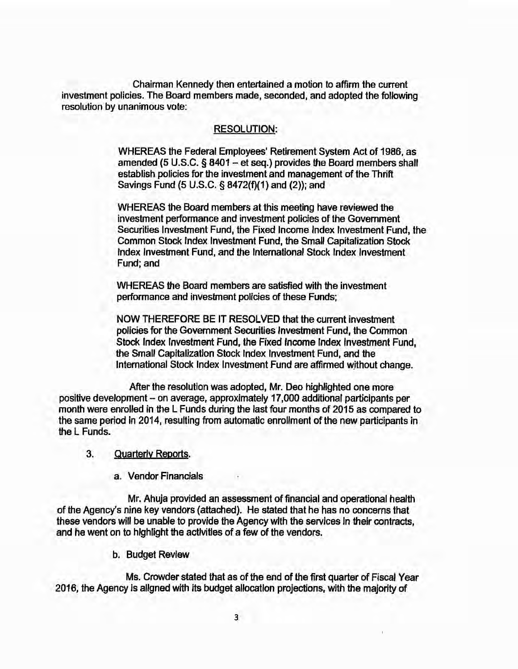Chairman Kennedy then entertained a motion to affirm the current investment policies. The Board members made, seconded, and adopted the following resolution by unanimous vote:

### RESOLUTION:

WHEREAS the Federal Employees' Retirement System Act of 1986, as amended (5 U.S.C.  $\S$  8401 - et seq.) provides the Board members shall establish policies for the investment and management of the Thrift Savings Fund (5 U.S.C. § 8472(f)(1) and (2)); and

WHEREAS the Board members at this meeting have reviewed the investment performance and investment policies of the Government Securities Investment Fund, the Fixed Income Index Investment Fund, the Common Stock Index Investment Fund, the Small Capitalization Stock Index Investment Fund, and the International Stock Index Investment Fund; and

WHEREAS the Board members are satisfied with the investment performance and investment policies of these Funds;

NOW THEREFORE BE IT RESOLVED that the current investment policies for the Government Securities Investment Fund, the Common Stock Index Investment Fund, the Fixed Income Index Investment Fund, the Small Capitalization Stock Index Investment Fund, and the International Stock Index Investment Fund are affirmed without change.

After the resolution was adopted, Mr. Dea highlighted one more positive development - on average, approximately 17,000 additional participants per month were enrolled in the L Funds during the last four months of 2015 as compared to the same period in 2014, resulting from automatic enrollment of the new partieipants in the L Funds.

### 3. Quarterlv Reports.

a. Vendor Financials

Mr. Ahuja provided an assessment of financial and operational health of the Agency's nine key vendors (attached). He stated that he has no concerns that these vendors will be unable to provide the Agency with the services in their contracts, and he went on to hlghlight the activities of a few of the vendors.

b. Budget Review

Ms. Crowder stated that as of the end of the first quarter of Fiscal Year 2016, the Agency is allgned with its budget allocatlon projections, with the majority of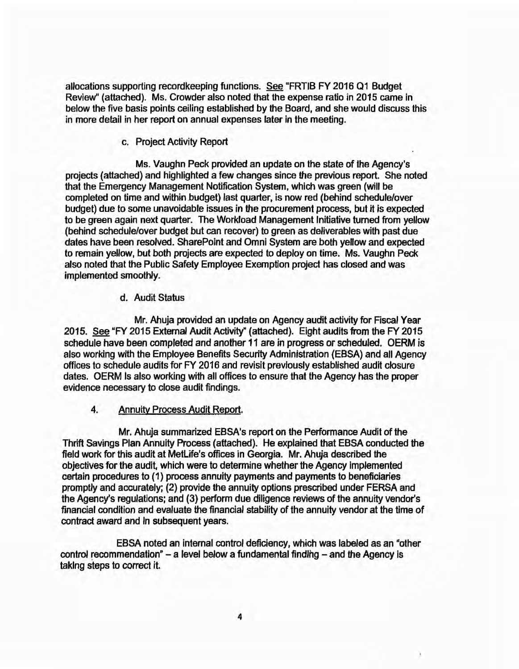allocations supporting recordkeeping functions. See "FRTIB FY 2016 01 Budget Review" (attached). Ms. Crowder also noted that the expense ratio in 2015 came in below the five basis points ceiling established by the Board, and she would discuss this in more detail in her report on annual expenses later in the meeting.

## c. Project Activity Report

Ms. Vaughn Peck provided an update on the state of the Agency's projects (attached) and highlighted a few changes since the previous report. She noted that the Emergency Management Notification System, which was green (will be completed on time and within budget) last quarter, is now red (behind schedule/over budget) due to some unavoidable issues in the procurement process, but it is expected to be green again next quarter. The Workload Management Initiative turned from yellow (behind schedule/over budget but can recover) to green as deliverables with past due dates have been resolved. SharePoint and Omni System are both yellow and expected to remain yellow, but both projects are expected to deploy on time. Ms. Vaughn Peck also noted that the Public Safety Employee Exemption project has closed and was implemented smoothly.

## d. Audit Status

Mr. Ahuja provided an update on Agency audit activity for Fiscal Year 2015. See "FY 2015 External Audit Activity" (attached). Eight audits from the FY 2015 schedule have been completed and another 11 are in progress or scheduled. OERM is also working with the Employee Benefits Security Administration (EBSA) and all Agency offices to schedule audits for FY 2016 and revisit previously established audit closure dates. OERM Is also working with all offices to ensure that the Agency has the proper evidence necessary to close audit findings.

## 4. Annuity Process Audit Report.

Mr. Ahuja summarized EBSA's report on the Performance Audit of the Thrift Savings Plan Annuity Process (attached). He explained that EBSA conducted the field work for this audit at MetLife's offices in Georgia. Mr. Ahuja described the objectives for the audit, which were to determine whether the Agency implemented certain procedures to (1) process annuity payments and payments to beneficiaries promptly and accurately; (2) provide the annuity options prescribed under FERSA and the Agency's regulations: and (3) perform due diligence reviews of the annuity vendor's financial condition and evaluate the financial stability of the annuity vendor at the time of contract award and In subsequent years.

EBSA noted an internal control deficiency, which was labeled as an "other control recommendation" - a level below a fundamental finding - and the Agency is taking steps to correct it.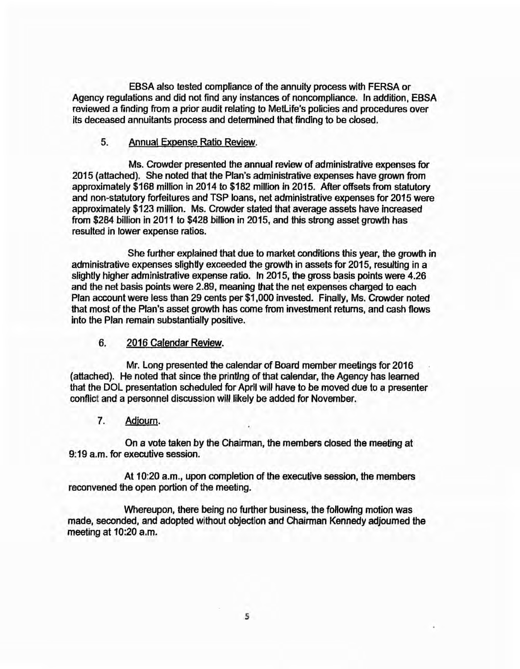EBSA also tested compliance of the annuity process with FERSA or Agency regulations and did not find any instances of noncompliance. In addition, EBSA reviewed a finding from a prior audit relating to Metlife's policies and procedures over its deceased annuitants process and determined that finding to be closed.

### 5. Annual Exoense Ratio Review.

Ms. Crowder presented the annual review of administrative expenses for 2015 (attached). She noted that the Plan's administrative expenses have grown from approximately \$168 million in 2014 to \$182 million in 2015. After offsets from statutory and non-statutory forfeitures and TSP loans, net administrative expenses for 2015 were approximately \$123 million. Ms. Crowder stated that average assets have increased from \$284 billion in 2011 to \$428 billion in 2015, and this strong asset growth has resulted in lower expense ratios.

She further explained that due to market conditions this year, the growth in administrative expenses slightty exceeded the growth in assets for 2015, resulting in a slightly higher administrative expense ratio. In 2015, the gross basis points were 4.26 and the net basis points were 2.89, meaning that the net expenses charged to each Plan account were less than 29 cents per \$1,000 invested. Finally, Ms. Crowder noted that most of the Plan's asset growth has come from investment returns, and cash flows into the Plan remain substantially positive.

### 6. 2016 Calendar Review.

Mr. Long presented the calendar of Board member meetings for 2016 (attached). He noted that since the printing of that calendar, the Agency has learned that the DOL presentation scheduled for April wlll have to be moved due to a presenter conflict and a personnel discussion will likely be added for November.

## 7. Adjourn.

On a vote taken by the Chairman, the members closed the meeting at 9:19 a.m. for executive session.

At 10:20 a.m., upon completion of the executive session, the members reconvened the open portion of the meeting.

Whereupon, there being no further business, the following motion was made, seconded, and adopted without objection and Chairman Kennedy adjourned the meeting at 10:20 a.m.